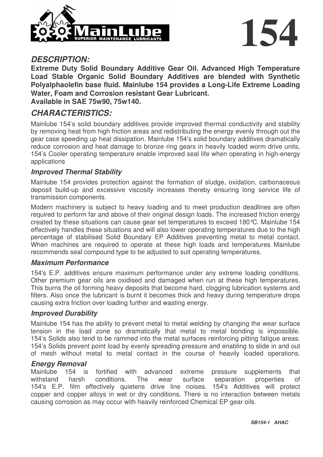



#### *DESCRIPTION:*

**Extreme Duty Solid Boundary Additive Gear Oil. Advanced High Temperature Load Stable Organic Solid Boundary Additives are blended with Synthetic Polyalphaolefin base fluid. Mainlube 154 provides a Long-Life Extreme Loading Water, Foam and Corrosion resistant Gear Lubricant. Available in SAE 75w90, 75w140.**

#### *CHARACTERISTICS:*

Mainlube 154's solid boundary additives provide improved thermal conductivity and stability by removing heat from high friction areas and redistributing the energy evenly through out the gear case speeding up heat dissipation. Mainlube 154's solid boundary additives dramatically reduce corrosion and heat damage to bronze ring gears in heavily loaded worm drive units, 154's Cooler operating temperature enable improved seal life when operating in high-energy applications

#### *Improved Thermal Stability*

Mainlube 154 provides protection against the formation of sludge, oxidation, carbonaceous deposit build-up and excessive viscosity increases thereby ensuring long service life of transmission components.

Modern machinery is subject to heavy loading and to meet production deadlines are often required to perform far and above of their original design loads. The increased friction energy created by these situations can cause gear set temperatures to exceed 180°C. Mainlube 154 effectively handles these situations and will also lower operating temperatures due to the high percentage of stabilised Solid Boundary EP Additives preventing metal to metal contact. When machines are required to operate at these high loads and temperatures Mainlube recommends seal compound type to be adjusted to suit operating temperatures.

#### *Maximum Performance*

154's E.P. additives ensure maximum performance under any extreme loading conditions. Other premium gear oils are oxidised and damaged when run at these high temperatures. This burns the oil forming heavy deposits that become hard, clogging lubrication systems and filters. Also once the lubricant is burnt it becomes thick and heavy during temperature drops causing extra friction over loading further and wasting energy.

#### *Improved Durability*

Mainlube 154 has the ability to prevent metal to metal welding by changing the wear surface tension in the load zone so dramatically that metal to metal bonding is impossible. 154's Solids also tend to be rammed into the metal surfaces reinforcing pitting fatigue areas. 154's Solids prevent point load by evenly spreading pressure and enabling to slide in and out of mesh without metal to metal contact in the course of heavily loaded operations.

#### *Energy Removal*

Mainlube 154 is fortified with advanced extreme pressure supplements that withstand harsh conditions. The wear surface separation properties of 154's E.P. film effectively quietens drive line noises. 154's Additives will protect copper and copper alloys in wet or dry conditions. There is no interaction between metals causing corrosion as may occur with heavily reinforced Chemical EP gear oils.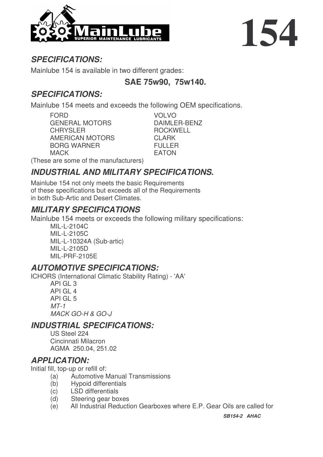

# **154**

# *SPECIFICATIONS:*

Mainlube 154 is available in two different grades:

## **SAE 75w90, 75w140.**

# *SPECIFICATIONS:*

Mainlube 154 meets and exceeds the following OEM specifications.

FORD VOLVO GENERAL MOTORS DAIMLER-BENZ CHRYSLER ROCKWELL AMERICAN MOTORS CLARK BORG WARNER FULLER MACK EATON

(These are some of the manufacturers)

# *INDUSTRIAL AND MILITARY SPECIFICATIONS.*

Mainlube 154 not only meets the basic Requirements of these specifications but exceeds all of the Requirements in both Sub-Artic and Desert Climates.

## *MILITARY SPECIFICATIONS*

Mainlube 154 meets or exceeds the following military specifications:

MIL-L-2104C MIL-L-2105C MIL-L-10324A (Sub-artic) MIL-L-2105D MIL-PRF-2105E

## *AUTOMOTIVE SPECIFICATIONS:*

ICHORS (International Climatic Stability Rating) - 'AA'

API GL 3 API GL 4 API GL 5 *MT-1 MACK GO-H & GO-J*

## *INDUSTRIAL SPECIFICATIONS:*

US Steel 224 Cincinnati Milacron AGMA 250.04, 251.02

## *APPLICATION:*

Initial fill, top-up or refill of:

- (a) Automotive Manual Transmissions
- (b) Hypoid differentials
- (c) LSD differentials
- (d) Steering gear boxes
- (e) All Industrial Reduction Gearboxes where E.P. Gear Oils are called for

*SB154-2 AHAC*